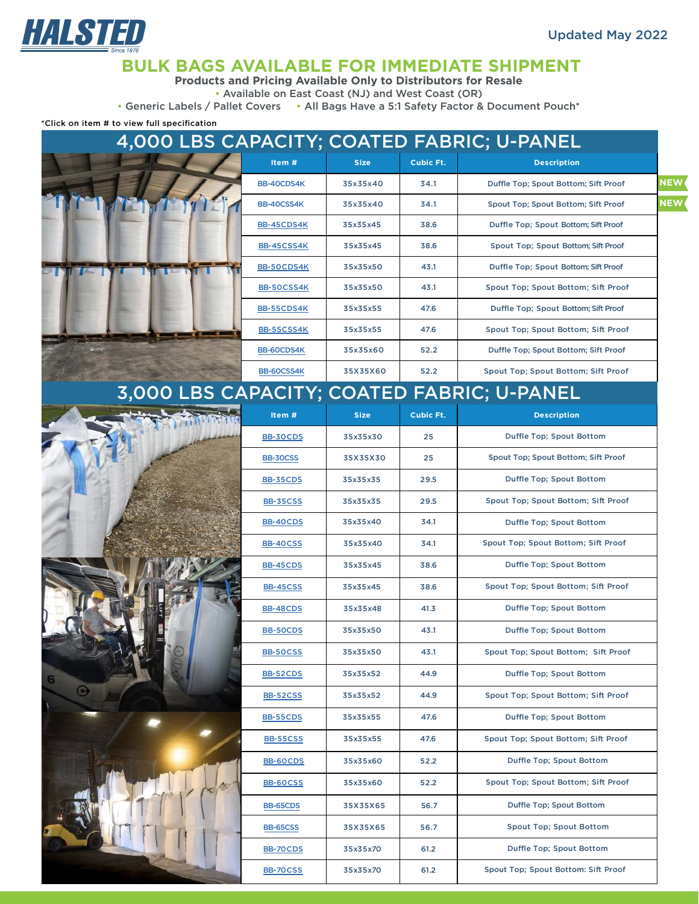

### **BULK BAGS AVAILABLE FOR IMMEDIATE SHIPMENT**

**Products and Pricing Available Only to Distributors for Resale**

• Available on East Coast (NJ) and West Coast (OR)

• Generic Labels / Pallet Covers • All Bags Have a 5:1 Safety Factor & Document Pouch\*

\*Click on item # to view full specification

| 4,000 LBS CAPACITY; COATED FABRIC; U-PANEL |                 |             |                  |                                            |            |  |  |
|--------------------------------------------|-----------------|-------------|------------------|--------------------------------------------|------------|--|--|
|                                            | Item#           | <b>Size</b> | <b>Cubic Ft.</b> | <b>Description</b>                         |            |  |  |
|                                            | BB-40CDS4K      | 35x35x40    | 34.1             | Duffle Top; Spout Bottom; Sift Proof       | <b>NEW</b> |  |  |
|                                            | BB-40CSS4K      | 35x35x40    | 34.1             | Spout Top; Spout Bottom; Sift Proof        | <b>NEW</b> |  |  |
|                                            | BB-45CDS4K      | 35x35x45    | 38.6             | Duffle Top; Spout Bottom; Sift Proof       |            |  |  |
|                                            | BB-45CSS4K      | 35x35x45    | 38.6             | Spout Top; Spout Bottom; Sift Proof        |            |  |  |
|                                            | BB-50CDS4K      | 35x35x50    | 43.1             | Duffle Top; Spout Bottom; Sift Proof       |            |  |  |
|                                            | BB-50CSS4K      | 35x35x50    | 43.1             | Spout Top; Spout Bottom; Sift Proof        |            |  |  |
|                                            | BB-55CDS4K      | 35x35x55    | 47.6             | Duffle Top; Spout Bottom; Sift Proof       |            |  |  |
|                                            | BB-55CSS4K      | 35x35x55    | 47.6             | Spout Top; Spout Bottom; Sift Proof        |            |  |  |
|                                            | BB-60CDS4K      | 35x35x60    | 52.2             | Duffle Top; Spout Bottom; Sift Proof       |            |  |  |
|                                            | BB-60CSS4K      | 35X35X60    | 52.2             | Spout Top; Spout Bottom; Sift Proof        |            |  |  |
|                                            |                 |             |                  | 3,000 LBS CAPACITY; COATED FABRIC; U-PANEL |            |  |  |
|                                            | Item#           | <b>Size</b> | <b>Cubic Ft.</b> | <b>Description</b>                         |            |  |  |
|                                            | <b>BB-30CDS</b> | 35x35x30    | 25               | Duffle Top; Spout Bottom                   |            |  |  |
|                                            | BB-30CSS        | 35X35X30    | 25               | Spout Top; Spout Bottom; Sift Proof        |            |  |  |
|                                            | <b>BB-35CDS</b> | 35x35x35    | 29.5             | Duffle Top; Spout Bottom                   |            |  |  |
|                                            | <b>BB-35CSS</b> | 35x35x35    | 29.5             | Spout Top; Spout Bottom; Sift Proof        |            |  |  |
|                                            | <b>BB-40CDS</b> | 35x35x40    | 34.1             | Duffle Top; Spout Bottom                   |            |  |  |
|                                            | <b>BB-40CSS</b> | 35x35x40    | 34.1             | Spout Top; Spout Bottom; Sift Proof        |            |  |  |
|                                            | <b>BB-45CDS</b> | 35x35x45    | 38.6             | Duffle Top; Spout Bottom                   |            |  |  |
|                                            | <b>BB-45CSS</b> | 35x35x45    | 38.6             | Spout Top; Spout Bottom; Sift Proof        |            |  |  |
|                                            | <b>BB-48CDS</b> | 35x35x48    | 41.3             | Duffle Top; Spout Bottom                   |            |  |  |
|                                            | <b>BB-50CDS</b> | 35x35x50    | 43.1             | Duffle Top; Spout Bottom                   |            |  |  |
|                                            | <b>BB-50CSS</b> | 35x35x50    | 43.1             | Spout Top; Spout Bottom; Sift Proof        |            |  |  |
|                                            | <b>BB-52CDS</b> | 35x35x52    | 44.9             | Duffle Top; Spout Bottom                   |            |  |  |
|                                            | <b>BB-52CSS</b> | 35x35x52    | 44.9             | Spout Top; Spout Bottom; Sift Proof        |            |  |  |
|                                            | <b>BB-55CDS</b> | 35x35x55    | 47.6             | Duffle Top; Spout Bottom                   |            |  |  |
|                                            | <b>BB-55CSS</b> | 35x35x55    | 47.6             | Spout Top; Spout Bottom; Sift Proof        |            |  |  |
|                                            | <b>BB-60CDS</b> | 35x35x60    | 52.2             | Duffle Top; Spout Bottom                   |            |  |  |
|                                            | <b>BB-60CSS</b> | 35x35x60    | 52.2             | Spout Top; Spout Bottom; Sift Proof        |            |  |  |
|                                            | BB-65CDS        | 35X35X65    | 56.7             | Duffle Top; Spout Bottom                   |            |  |  |
|                                            | <b>BB-65CSS</b> | 35X35X65    | 56.7             | Spout Top; Spout Bottom                    |            |  |  |
|                                            | <b>BB-70CDS</b> | 35x35x70    | 61.2             | Duffle Top; Spout Bottom                   |            |  |  |
|                                            | <b>BB-70CSS</b> | 35x35x70    | 61.2             | Spout Top; Spout Bottom: Sift Proof        |            |  |  |
|                                            |                 |             |                  |                                            |            |  |  |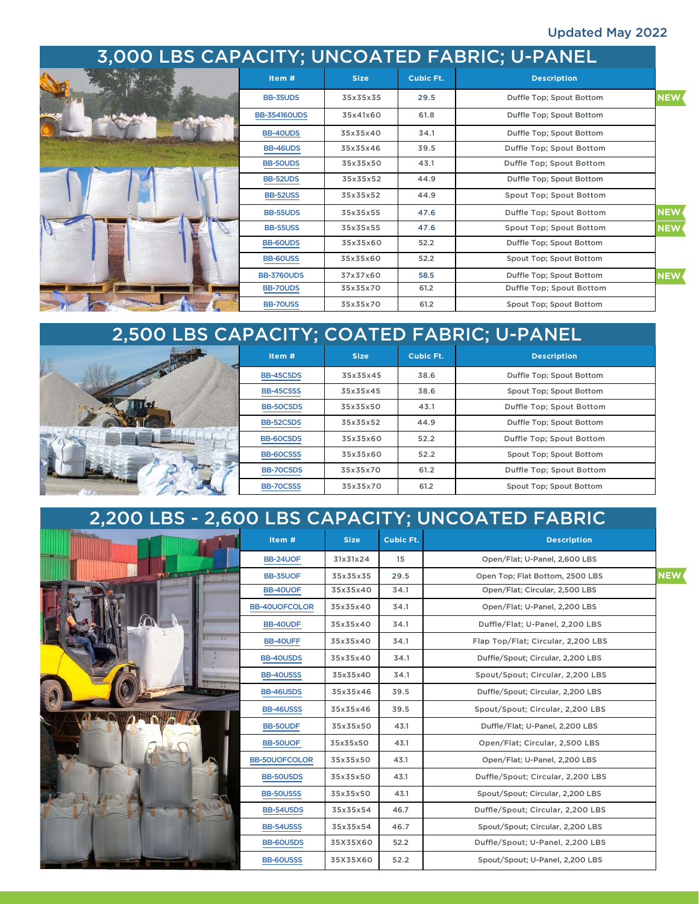#### Updated May 2022

| 3,000 LBS CAPACITY; UNCOATED FABRIC; U-PANEL |                     |             |                  |                          |            |  |
|----------------------------------------------|---------------------|-------------|------------------|--------------------------|------------|--|
|                                              | Item #              | <b>Size</b> | <b>Cubic Ft.</b> | <b>Description</b>       |            |  |
|                                              | <b>BB-35UDS</b>     | 35x35x35    | 29.5             | Duffle Top; Spout Bottom | <b>NEW</b> |  |
|                                              | <b>BB-354160UDS</b> | 35x41x60    | 61.8             | Duffle Top: Spout Bottom |            |  |
|                                              | BB-40UDS            | 35x35x40    | 34.1             | Duffle Top; Spout Bottom |            |  |
|                                              | <b>BB-46UDS</b>     | 35x35x46    | 39.5             | Duffle Top; Spout Bottom |            |  |
|                                              | <b>BB-50UDS</b>     | 35x35x50    | 43.1             | Duffle Top; Spout Bottom |            |  |
|                                              | <b>BB-52UDS</b>     | 35x35x52    | 44.9             | Duffle Top: Spout Bottom |            |  |
|                                              | <b>BB-52USS</b>     | 35x35x52    | 44.9             | Spout Top; Spout Bottom  |            |  |
|                                              | <b>BB-55UDS</b>     | 35x35x55    | 47.6             | Duffle Top; Spout Bottom | <b>NEW</b> |  |
|                                              | <b>BB-55USS</b>     | 35x35x55    | 47.6             | Spout Top; Spout Bottom  | <b>NEW</b> |  |
|                                              | BB-60UDS            | 35x35x60    | 52.2             | Duffle Top; Spout Bottom |            |  |
|                                              | <b>BB-60USS</b>     | 35x35x60    | 52.2             | Spout Top; Spout Bottom  |            |  |
|                                              | <b>BB-3760UDS</b>   | 37x37x60    | 58.5             | Duffle Top; Spout Bottom | <b>NEW</b> |  |
|                                              | BB-70UDS            | 35x35x70    | 61.2             | Duffle Top; Spout Bottom |            |  |
|                                              | <b>BB-70USS</b>     | 35x35x70    | 61.2             | Spout Top; Spout Bottom  |            |  |

| 2,500 LBS CAPACITY; COATED FABRIC; U-PANEL |                  |             |           |                          |  |  |
|--------------------------------------------|------------------|-------------|-----------|--------------------------|--|--|
|                                            | Item #           | <b>Size</b> | Cubic Ft. | <b>Description</b>       |  |  |
|                                            | <b>BB-45C5DS</b> | 35x35x45    | 38.6      | Duffle Top; Spout Bottom |  |  |
|                                            | <b>BB-45C5SS</b> | 35x35x45    | 38.6      | Spout Top; Spout Bottom  |  |  |
|                                            | <b>BB-50C5DS</b> | 35x35x50    | 43.1      | Duffle Top; Spout Bottom |  |  |
|                                            | <b>BB-52C5DS</b> | 35x35x52    | 44.9      | Duffle Top; Spout Bottom |  |  |
|                                            | <b>BB-60C5DS</b> | 35x35x60    | 52.2      | Duffle Top; Spout Bottom |  |  |
|                                            | <b>BB-60C5SS</b> | 35x35x60    | 52.2      | Spout Top; Spout Bottom  |  |  |
|                                            | <b>BB-70C5DS</b> | 35x35x70    | 61.2      | Duffle Top; Spout Bottom |  |  |
|                                            | <b>BB-70C5SS</b> | 35x35x70    | 61.2      | Spout Top; Spout Bottom  |  |  |

| 2,200 LBS - 2,600 LBS CAPACITY; UNCOATED FABRIC |                      |             |           |                                               |  |  |
|-------------------------------------------------|----------------------|-------------|-----------|-----------------------------------------------|--|--|
|                                                 | Item #               | <b>Size</b> | Cubic Ft. | <b>Description</b>                            |  |  |
|                                                 | BB-24UOF             | 31x31x24    | 15        | Open/Flat: U-Panel, 2,600 LBS                 |  |  |
|                                                 | BB-35UOF             | 35x35x35    | 29.5      | <b>NEW</b><br>Open Top; Flat Bottom, 2500 LBS |  |  |
|                                                 | BB-40UOF             | 35x35x40    | 34.1      | Open/Flat; Circular, 2,500 LBS                |  |  |
|                                                 | <b>BB-40UOFCOLOR</b> | 35x35x40    | 34.1      | Open/Flat: U-Panel, 2.200 LBS                 |  |  |
|                                                 | BB-40UDF             | 35x35x40    | 34.1      | Duffle/Flat; U-Panel, 2,200 LBS               |  |  |
|                                                 | BB-40UFF             | 35x35x40    | 34.1      | Flap Top/Flat; Circular, 2,200 LBS            |  |  |
|                                                 | <b>BB-40U5DS</b>     | 35x35x40    | 34.1      | Duffle/Spout; Circular, 2,200 LBS             |  |  |
|                                                 | <b>BB-40U5SS</b>     | 35x35x40    | 34.1      | Spout/Spout; Circular, 2,200 LBS              |  |  |
|                                                 | <b>BB-46U5DS</b>     | 35x35x46    | 39.5      | Duffle/Spout; Circular, 2,200 LBS             |  |  |
|                                                 | <b>BB-46U5SS</b>     | 35x35x46    | 39.5      | Spout/Spout; Circular, 2,200 LBS              |  |  |
|                                                 | <b>BB-50UDF</b>      | 35x35x50    | 43.1      | Duffle/Flat; U-Panel, 2,200 LBS               |  |  |
|                                                 | <b>BB-50UOF</b>      | 35x35x50    | 43.1      | Open/Flat; Circular, 2,500 LBS                |  |  |
|                                                 | <b>BB-50UOFCOLOR</b> | 35x35x50    | 43.1      | Open/Flat; U-Panel, 2,200 LBS                 |  |  |
|                                                 | <b>BB-50U5DS</b>     | 35x35x50    | 43.1      | Duffle/Spout; Circular, 2,200 LBS             |  |  |
|                                                 | <b>BB-50U5SS</b>     | 35x35x50    | 43.1      | Spout/Spout; Circular, 2,200 LBS              |  |  |
|                                                 | <b>BB-54U5DS</b>     | 35x35x54    | 46.7      | Duffle/Spout: Circular, 2,200 LBS             |  |  |
|                                                 | <b>BB-54U5SS</b>     | 35x35x54    | 46.7      | Spout/Spout; Circular, 2,200 LBS              |  |  |
|                                                 | <b>BB-60U5DS</b>     | 35X35X60    | 52.2      | Duffle/Spout; U-Panel, 2,200 LBS              |  |  |
|                                                 | <b>BB-60U5SS</b>     | 35X35X60    | 52.2      | Spout/Spout; U-Panel, 2,200 LBS               |  |  |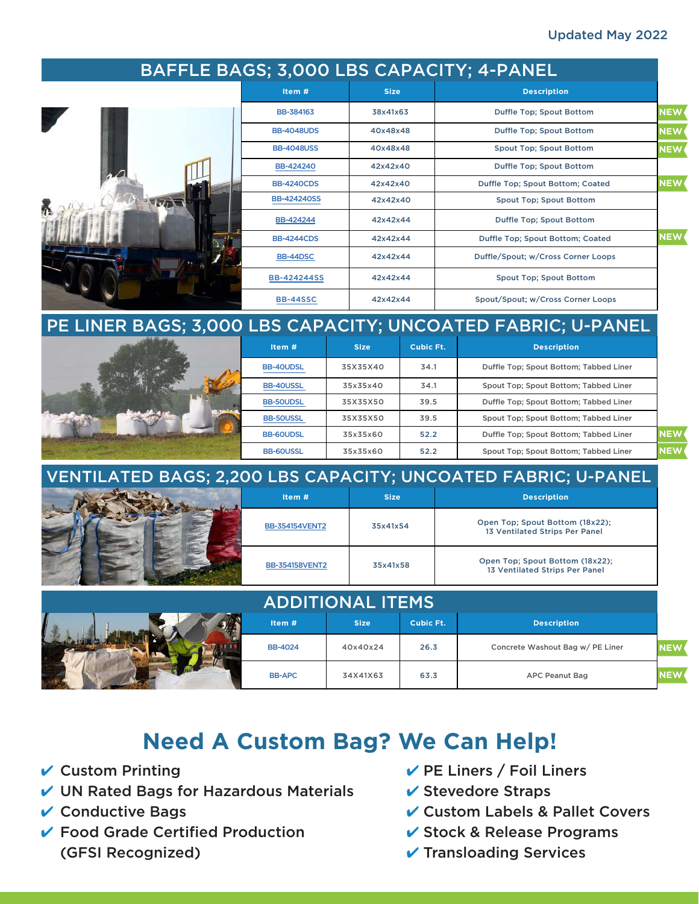#### Updated May 2022

|     |                              |             |             |                  | BAFFLE BAGS; 3,000 LBS CAPACITY; 4-PANEL                          |            |
|-----|------------------------------|-------------|-------------|------------------|-------------------------------------------------------------------|------------|
|     | Item#                        |             | <b>Size</b> |                  | <b>Description</b>                                                |            |
|     | BB-384163                    | 38x41x63    |             |                  | Duffle Top; Spout Bottom                                          | <b>NEW</b> |
|     | <b>BB-4048UDS</b>            |             | 40x48x48    |                  | Duffle Top; Spout Bottom                                          | <b>NEW</b> |
|     | <b>BB-4048USS</b>            |             | 40x48x48    |                  | <b>Spout Top; Spout Bottom</b>                                    | <b>NEW</b> |
|     | BB-424240                    |             | 42x42x40    |                  | Duffle Top; Spout Bottom                                          |            |
|     | <b>BB-4240CDS</b>            |             | 42x42x40    |                  | Duffle Top; Spout Bottom; Coated                                  | <b>NEW</b> |
| WIT | <b>BB-424240SS</b>           |             | 42x42x40    |                  | <b>Spout Top; Spout Bottom</b>                                    |            |
|     | BB-424244                    |             | 42x42x44    |                  | Duffle Top; Spout Bottom                                          |            |
|     | <b>BB-4244CDS</b>            |             | 42x42x44    |                  | Duffle Top; Spout Bottom; Coated                                  | <b>NEW</b> |
|     | BB-44DSC                     |             | 42x42x44    |                  | Duffle/Spout; w/Cross Corner Loops                                |            |
|     | <b>BB-424244SS</b>           |             | 42x42x44    |                  | Spout Top; Spout Bottom                                           |            |
|     | <b>BB-44SSC</b>              |             | 42x42x44    |                  | Spout/Spout; w/Cross Corner Loops                                 |            |
|     |                              |             |             |                  | PE LINER BAGS; 3,000 LBS CAPACITY; UNCOATED FABRIC; U-PANEL       |            |
|     | Item #                       | <b>Size</b> |             | <b>Cubic Ft.</b> | <b>Description</b>                                                |            |
|     | <b>BB-40UDSL</b>             | 35X35X40    |             | 34.1             | Duffle Top; Spout Bottom; Tabbed Liner                            |            |
|     | BB-40USSL                    | 35x35x40    |             | 34.1             | Spout Top; Spout Bottom; Tabbed Liner                             |            |
|     | <b>BB-50UDSL</b>             | 35X35X50    |             | 39.5             | Duffle Top; Spout Bottom; Tabbed Liner                            |            |
|     | <b>BB-50USSL</b>             | 35X35X50    |             | 39.5             | Spout Top; Spout Bottom; Tabbed Liner                             |            |
|     | <b>BB-60UDSL</b>             | 35x35x60    |             | 52.2             | Duffle Top; Spout Bottom; Tabbed Liner                            | <b>NEW</b> |
|     | <b>BB-60USSL</b><br>35x35x60 |             |             | 52.2             | Spout Top; Spout Bottom; Tabbed Liner                             | <b>NEW</b> |
|     |                              |             |             |                  | VENTILATED BAGS; 2,200 LBS CAPACITY; UNCOATED FABRIC; U-PANEL     |            |
|     | Item#                        |             | <b>Size</b> |                  | <b>Description</b>                                                |            |
|     | <b>BB-354154VENT2</b>        |             | 35x41x54    |                  | Open Top; Spout Bottom (18x22);<br>13 Ventilated Strips Per Panel |            |
|     | <b>BB-354158VENT2</b>        |             | 35x41x58    |                  | Open Top; Spout Bottom (18x22);<br>13 Ventilated Strips Per Panel |            |
|     | <b>ADDITIONAL ITEMS</b>      |             |             |                  |                                                                   |            |
|     | Item#                        | <b>Size</b> |             | <b>Cubic Ft.</b> | <b>Description</b>                                                |            |
|     | <b>BB-4024</b>               | 40x40x24    |             | 26.3             | Concrete Washout Bag w/ PE Liner                                  | <b>NEW</b> |
|     | <b>BB-APC</b>                | 34X41X63    |             | 63.3             | <b>APC Peanut Bag</b>                                             | <b>NEW</b> |

# **Need A Custom Bag? We Can Help!**

 $\checkmark$  Custom Printing

**Contract Contract Contract** 

- $\nu$  UN Rated Bags for Hazardous Materials
- $\vee$  Conductive Bags
- ✔ Food Grade Certified Production (GFSI Recognized)
- $\vee$  PE Liners / Foil Liners
- $\vee$  Stevedore Straps
- ✔ Custom Labels & Pallet Covers
- ✔ Stock & Release Programs
- $\vee$  Transloading Services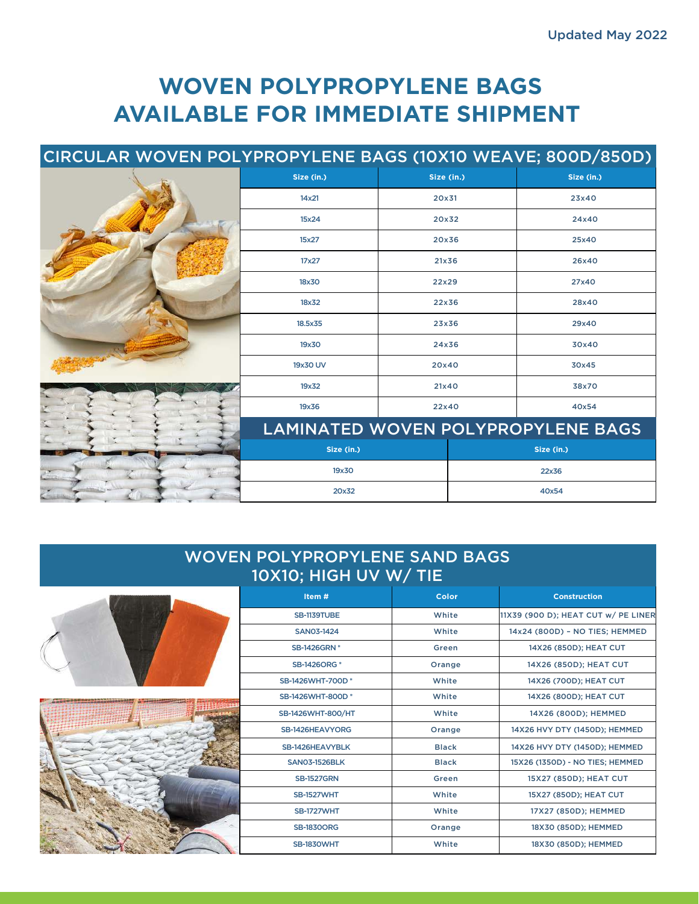# **WOVEN POLYPROPYLENE BAGS AVAILABLE FOR IMMEDIATE SHIPMENT**

## CIRCULAR WOVEN POLYPROPYLENE BAGS (10X10 WEAVE; 800D/850D)

|  | Size (in.)       | Size (in.)                         | Size (in.) |
|--|------------------|------------------------------------|------------|
|  | 14x21            | 20x31                              | 23x40      |
|  | 15x24            | 20x32                              | 24x40      |
|  | 15x27            | 20x36                              | 25x40      |
|  | 17x27            | 21x36                              | 26x40      |
|  | 18x30            | 22x29                              | 27x40      |
|  | 18x32            | 22x36                              | 28x40      |
|  | 18.5x35<br>23x36 |                                    | 29x40      |
|  | 19x30            | 24x36                              | 30x40      |
|  | 19x30 UV         | 20x40                              | 30x45      |
|  | 19x32            | 21x40                              | 38x70      |
|  | 19x36            | 22x40                              | 40x54      |
|  |                  | LAMINATED WOVEN POLYPROPYLENE BAGS |            |
|  | Size (in.)       |                                    | Size (in.) |
|  | 19x30            |                                    | 22x36      |
|  | 20x32            |                                    | 40x54      |

#### WOVEN POLYPROPYLENE SAND BAGS 10X10; HIGH UV W/ TIE